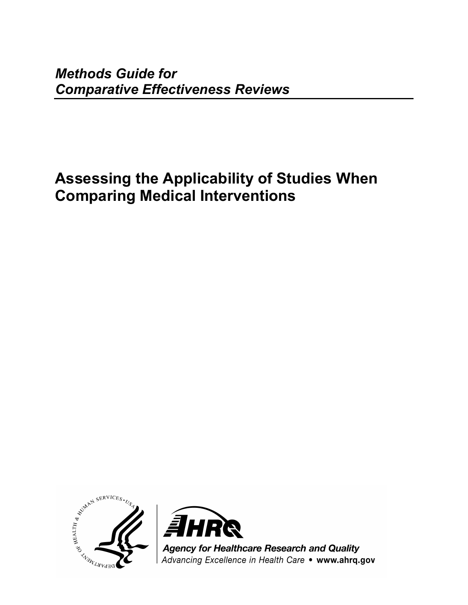*Methods Guide for Comparative Effectiveness Reviews*

# **Assessing the Applicability of Studies When Comparing Medical Interventions**





**Agency for Healthcare Research and Quality** Advancing Excellence in Health Care . www.ahrq.gov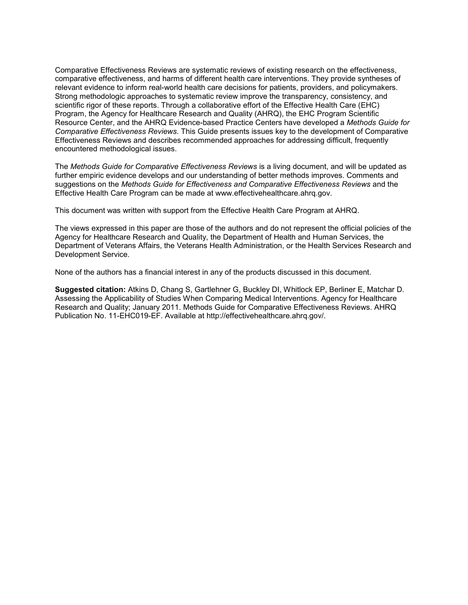Comparative Effectiveness Reviews are systematic reviews of existing research on the effectiveness, comparative effectiveness, and harms of different health care interventions. They provide syntheses of relevant evidence to inform real-world health care decisions for patients, providers, and policymakers. Strong methodologic approaches to systematic review improve the transparency, consistency, and scientific rigor of these reports. Through a collaborative effort of the Effective Health Care (EHC) Program, the Agency for Healthcare Research and Quality (AHRQ), the EHC Program Scientific Resource Center, and the AHRQ Evidence-based Practice Centers have developed a *Methods Guide for Comparative Effectiveness Reviews*. This Guide presents issues key to the development of Comparative Effectiveness Reviews and describes recommended approaches for addressing difficult, frequently encountered methodological issues.

The *Methods Guide for Comparative Effectiveness Reviews* is a living document, and will be updated as further empiric evidence develops and our understanding of better methods improves. Comments and suggestions on the *Methods Guide for Effectiveness and Comparative Effectiveness Reviews* and the Effective Health Care Program can be made at www.effectivehealthcare.ahrq.gov.

This document was written with support from the Effective Health Care Program at AHRQ.

The views expressed in this paper are those of the authors and do not represent the official policies of the Agency for Healthcare Research and Quality, the Department of Health and Human Services, the Department of Veterans Affairs, the Veterans Health Administration, or the Health Services Research and Development Service.

None of the authors has a financial interest in any of the products discussed in this document.

**Suggested citation:** Atkins D, Chang S, Gartlehner G, Buckley DI, Whitlock EP, Berliner E, Matchar D. Assessing the Applicability of Studies When Comparing Medical Interventions. Agency for Healthcare Research and Quality; January 2011. Methods Guide for Comparative Effectiveness Reviews. AHRQ Publication No. 11-EHC019-EF. Available at http://effectivehealthcare.ahrq.gov/.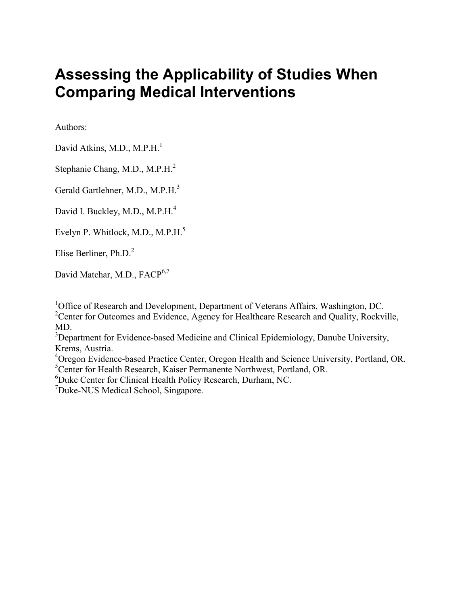# **Assessing the Applicability of Studies When Comparing Medical Interventions**

Authors:

David Atkins, M.D., M.P.H.<sup>1</sup>

Stephanie Chang, M.D., M.P.H.2

Gerald Gartlehner, M.D., M.P.H.<sup>3</sup>

David I. Buckley, M.D., M.P.H.<sup>4</sup>

Evelyn P. Whitlock, M.D., M.P.H.<sup>5</sup>

Elise Berliner, Ph.D.<sup>2</sup>

David Matchar, M.D., FACP<sup>6,7</sup>

<sup>1</sup>Office of Research and Development, Department of Veterans Affairs, Washington, DC. <sup>2</sup> Center for Outcomes and Evidence, Agency for Healthcare Research and Quality, Rockville, MD.

<sup>3</sup>Department for Evidence-based Medicine and Clinical Epidemiology, Danube University, Krems, Austria.

<sup>4</sup>Oregon Evidence-based Practice Center, Oregon Health and Science University, Portland, OR. <sup>5</sup>Center for Health Research, Kaiser Permanente Northwest, Portland, OR.

6 Duke Center for Clinical Health Policy Research, Durham, NC.

<sup>7</sup>Duke-NUS Medical School, Singapore.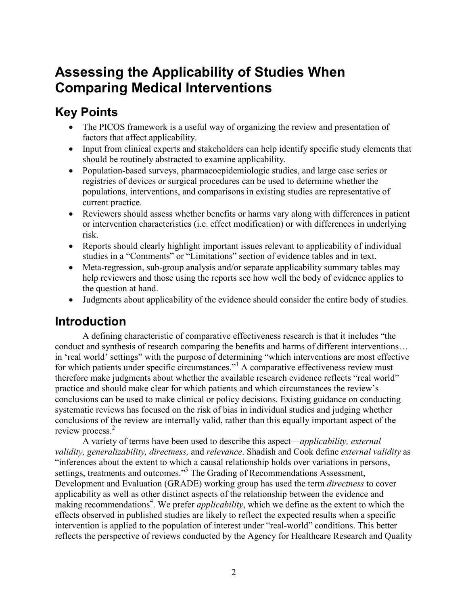## **Assessing the Applicability of Studies When Comparing Medical Interventions**

## **Key Points**

- The PICOS framework is a useful way of organizing the review and presentation of factors that affect applicability.
- Input from clinical experts and stakeholders can help identify specific study elements that should be routinely abstracted to examine applicability.
- Population-based surveys, pharmacoepidemiologic studies, and large case series or registries of devices or surgical procedures can be used to determine whether the populations, interventions, and comparisons in existing studies are representative of current practice.
- Reviewers should assess whether benefits or harms vary along with differences in patient or intervention characteristics (i.e. effect modification) or with differences in underlying risk.
- Reports should clearly highlight important issues relevant to applicability of individual studies in a "Comments" or "Limitations" section of evidence tables and in text.
- Meta-regression, sub-group analysis and/or separate applicability summary tables may help reviewers and those using the reports see how well the body of evidence applies to the question at hand.
- Judgments about applicability of the evidence should consider the entire body of studies.

## **Introduction**

A defining characteristic of comparative effectiveness research is that it includes "the conduct and synthesis of research comparing the benefits and harms of different interventions… in 'real world' settings" with the purpose of determining "which interventions are most effective for which patients under specific circumstances."<sup>1</sup> A comparative effectiveness review must therefore make judgments about whether the available research evidence reflects "real world" practice and should make clear for which patients and which circumstances the review's conclusions can be used to make clinical or policy decisions. Existing guidance on conducting systematic reviews has focused on the risk of bias in individual studies and judging whether conclusions of the review are internally valid, rather than this equally important aspect of the review process.<sup>2</sup>

A variety of terms have been used to describe this aspect—*applicability, external validity, generalizability, directness,* and *relevance*. Shadish and Cook define *external validity* as "inferences about the extent to which a causal relationship holds over variations in persons, settings, treatments and outcomes."<sup>3</sup> The Grading of Recommendations Assessment, Development and Evaluation (GRADE) working group has used the term *directness* to cover applicability as well as other distinct aspects of the relationship between the evidence and making recommendations<sup>4</sup>. We prefer *applicability*, which we define as the extent to which the effects observed in published studies are likely to reflect the expected results when a specific intervention is applied to the population of interest under "real-world" conditions. This better reflects the perspective of reviews conducted by the Agency for Healthcare Research and Quality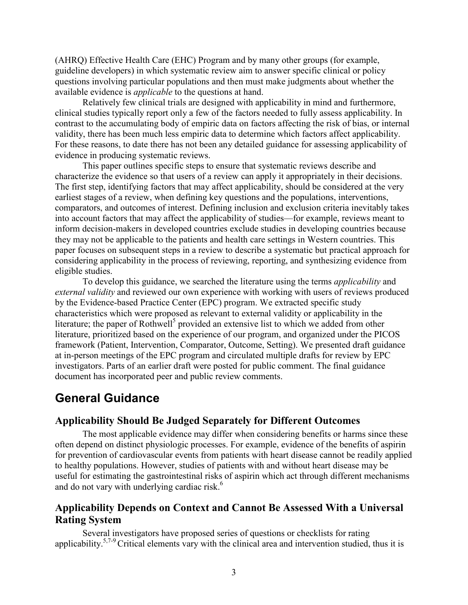(AHRQ) Effective Health Care (EHC) Program and by many other groups (for example, guideline developers) in which systematic review aim to answer specific clinical or policy questions involving particular populations and then must make judgments about whether the available evidence is *applicable* to the questions at hand.

Relatively few clinical trials are designed with applicability in mind and furthermore, clinical studies typically report only a few of the factors needed to fully assess applicability. In contrast to the accumulating body of empiric data on factors affecting the risk of bias, or internal validity, there has been much less empiric data to determine which factors affect applicability. For these reasons, to date there has not been any detailed guidance for assessing applicability of evidence in producing systematic reviews.

This paper outlines specific steps to ensure that systematic reviews describe and characterize the evidence so that users of a review can apply it appropriately in their decisions. The first step, identifying factors that may affect applicability, should be considered at the very earliest stages of a review, when defining key questions and the populations, interventions, comparators, and outcomes of interest. Defining inclusion and exclusion criteria inevitably takes into account factors that may affect the applicability of studies—for example, reviews meant to inform decision-makers in developed countries exclude studies in developing countries because they may not be applicable to the patients and health care settings in Western countries. This paper focuses on subsequent steps in a review to describe a systematic but practical approach for considering applicability in the process of reviewing, reporting, and synthesizing evidence from eligible studies.

To develop this guidance, we searched the literature using the terms *applicability* and *external validity* and reviewed our own experience with working with users of reviews produced by the Evidence-based Practice Center (EPC) program. We extracted specific study characteristics which were proposed as relevant to external validity or applicability in the literature; the paper of Rothwell<sup>5</sup> provided an extensive list to which we added from other literature, prioritized based on the experience of our program, and organized under the PICOS framework (Patient, Intervention, Comparator, Outcome, Setting). We presented draft guidance at in-person meetings of the EPC program and circulated multiple drafts for review by EPC investigators. Parts of an earlier draft were posted for public comment. The final guidance document has incorporated peer and public review comments.

### **General Guidance**

#### **Applicability Should Be Judged Separately for Different Outcomes**

The most applicable evidence may differ when considering benefits or harms since these often depend on distinct physiologic processes. For example, evidence of the benefits of aspirin for prevention of cardiovascular events from patients with heart disease cannot be readily applied to healthy populations. However, studies of patients with and without heart disease may be useful for estimating the gastrointestinal risks of aspirin which act through different mechanisms and do not vary with underlying cardiac risk.<sup>6</sup>

#### **Applicability Depends on Context and Cannot Be Assessed With a Universal Rating System**

Several investigators have proposed series of questions or checklists for rating applicability.<sup>5,7-9</sup> Critical elements vary with the clinical area and intervention studied, thus it is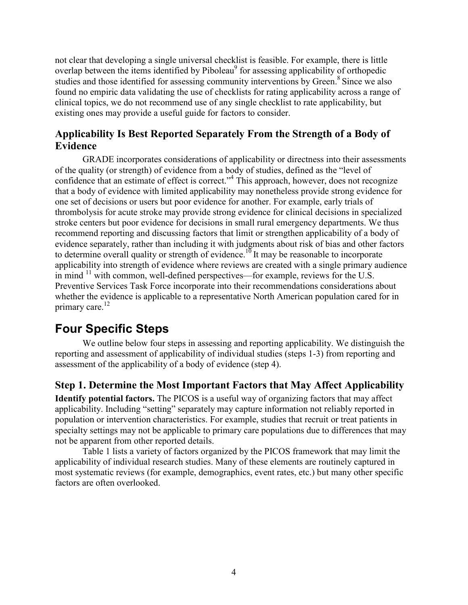not clear that developing a single universal checklist is feasible. For example, there is little overlap between the items identified by Piboleau<sup>9</sup> for assessing applicability of orthopedic studies and those identified for assessing community interventions by Green.<sup>8</sup> Since we also found no empiric data validating the use of checklists for rating applicability across a range of clinical topics, we do not recommend use of any single checklist to rate applicability, but existing ones may provide a useful guide for factors to consider.

#### **Applicability Is Best Reported Separately From the Strength of a Body of Evidence**

GRADE incorporates considerations of applicability or directness into their assessments of the quality (or strength) of evidence from a body of studies, defined as the "level of confidence that an estimate of effect is correct."4 This approach, however, does not recognize that a body of evidence with limited applicability may nonetheless provide strong evidence for one set of decisions or users but poor evidence for another. For example, early trials of thrombolysis for acute stroke may provide strong evidence for clinical decisions in specialized stroke centers but poor evidence for decisions in small rural emergency departments. We thus recommend reporting and discussing factors that limit or strengthen applicability of a body of evidence separately, rather than including it with judgments about risk of bias and other factors to determine overall quality or strength of evidence.<sup>10</sup> It may be reasonable to incorporate applicability into strength of evidence where reviews are created with a single primary audience in mind  $\frac{11}{11}$  with common, well-defined perspectives—for example, reviews for the U.S. Preventive Services Task Force incorporate into their recommendations considerations about whether the evidence is applicable to a representative North American population cared for in primary care.<sup>12</sup>

## **Four Specific Steps**

We outline below four steps in assessing and reporting applicability. We distinguish the reporting and assessment of applicability of individual studies (steps 1-3) from reporting and assessment of the applicability of a body of evidence (step 4).

#### **Step 1. Determine the Most Important Factors that May Affect Applicability**

**Identify potential factors.** The PICOS is a useful way of organizing factors that may affect applicability. Including "setting" separately may capture information not reliably reported in population or intervention characteristics. For example, studies that recruit or treat patients in specialty settings may not be applicable to primary care populations due to differences that may not be apparent from other reported details.

Table 1 lists a variety of factors organized by the PICOS framework that may limit the applicability of individual research studies. Many of these elements are routinely captured in most systematic reviews (for example, demographics, event rates, etc.) but many other specific factors are often overlooked.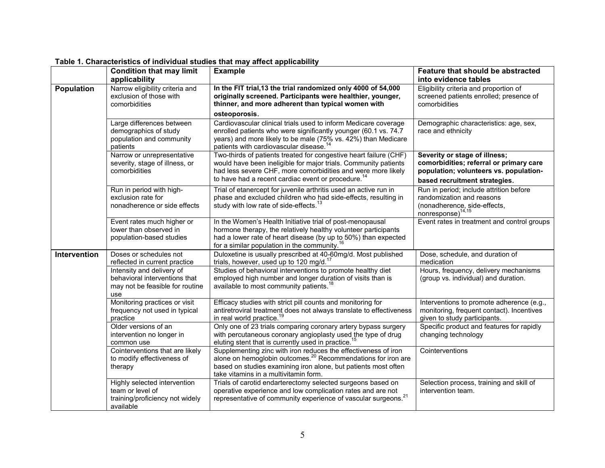|                   | <b>Condition that may limit</b><br>applicability                                                     | <b>Example</b>                                                                                                                                                                                                                                                         | Feature that should be abstracted<br>into evidence tables                                                                                           |
|-------------------|------------------------------------------------------------------------------------------------------|------------------------------------------------------------------------------------------------------------------------------------------------------------------------------------------------------------------------------------------------------------------------|-----------------------------------------------------------------------------------------------------------------------------------------------------|
| <b>Population</b> | Narrow eligibility criteria and<br>exclusion of those with<br>comorbidities                          | In the FIT trial, 13 the trial randomized only 4000 of 54,000<br>originally screened. Participants were healthier, younger,<br>thinner, and more adherent than typical women with<br>osteoporosis.                                                                     | Eligibility criteria and proportion of<br>screened patients enrolled; presence of<br>comorbidities                                                  |
|                   | Large differences between<br>demographics of study<br>population and community<br>patients           | Cardiovascular clinical trials used to inform Medicare coverage<br>enrolled patients who were significantly younger (60.1 vs. 74.7<br>years) and more likely to be male (75% vs. 42%) than Medicare<br>patients with cardiovascular disease. <sup>14</sup>             | Demographic characteristics: age, sex,<br>race and ethnicity                                                                                        |
|                   | Narrow or unrepresentative<br>severity, stage of illness, or<br>comorbidities                        | Two-thirds of patients treated for congestive heart failure (CHF)<br>would have been ineligible for major trials. Community patients<br>had less severe CHF, more comorbidities and were more likely<br>to have had a recent cardiac event or procedure. <sup>14</sup> | Severity or stage of illness;<br>comorbidities; referral or primary care<br>population; volunteers vs. population-<br>based recruitment strategies. |
|                   | Run in period with high-<br>exclusion rate for<br>nonadherence or side effects                       | Trial of etanercept for juvenile arthritis used an active run in<br>phase and excluded children who had side-effects, resulting in<br>study with low rate of side-effects. <sup>13</sup>                                                                               | Run in period; include attrition before<br>randomization and reasons<br>(nonadherence, side-effects, nonresponse) $14,15$                           |
|                   | Event rates much higher or<br>lower than observed in<br>population-based studies                     | In the Women's Health Initiative trial of post-menopausal<br>hormone therapy, the relatively healthy volunteer participants<br>had a lower rate of heart disease (by up to 50%) than expected<br>for a similar population in the community. <sup>16</sup>              | Event rates in treatment and control groups                                                                                                         |
| Intervention      | Doses or schedules not<br>reflected in current practice                                              | Duloxetine is usually prescribed at 40-60mg/d. Most published<br>trials, however, used up to 120 mg/d. $1$                                                                                                                                                             | Dose, schedule, and duration of<br>medication                                                                                                       |
|                   | Intensity and delivery of<br>behavioral interventions that<br>may not be feasible for routine<br>use | Studies of behavioral interventions to promote healthy diet<br>employed high number and longer duration of visits than is<br>available to most community patients. <sup>18</sup>                                                                                       | Hours, frequency, delivery mechanisms<br>(group vs. individual) and duration.                                                                       |
|                   | Monitoring practices or visit<br>frequency not used in typical<br>practice                           | Efficacy studies with strict pill counts and monitoring for<br>antiretroviral treatment does not always translate to effectiveness<br>in real world practice. <sup>19</sup>                                                                                            | Interventions to promote adherence (e.g.,<br>monitoring, frequent contact). Incentives<br>given to study participants.                              |
|                   | Older versions of an<br>intervention no longer in<br>common use                                      | Only one of 23 trials comparing coronary artery bypass surgery<br>with percutaneous coronary angioplasty used the type of drug<br>eluting stent that is currently used in practice. <sup>13</sup>                                                                      | Specific product and features for rapidly<br>changing technology                                                                                    |
|                   | Cointerventions that are likely<br>to modify effectiveness of<br>therapy                             | Supplementing zinc with iron reduces the effectiveness of iron<br>alone on hemoglobin outcomes. <sup>20</sup> Recommendations for iron are<br>based on studies examining iron alone, but patients most often<br>take vitamins in a multivitamin form.                  | Cointerventions                                                                                                                                     |
|                   | Highly selected intervention<br>team or level of<br>training/proficiency not widely<br>available     | Trials of carotid endarterectomy selected surgeons based on<br>operative experience and low complication rates and are not<br>representative of community experience of vascular surgeons. <sup>21</sup>                                                               | Selection process, training and skill of<br>intervention team.                                                                                      |

**Table 1. Characteristics of individual studies that may affect applicability**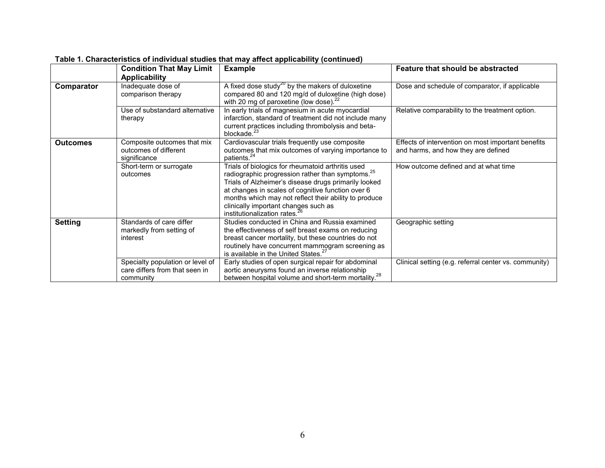|                 | <b>Condition That May Limit</b>  | <b>Example</b>                                                  | Feature that should be abstracted                     |
|-----------------|----------------------------------|-----------------------------------------------------------------|-------------------------------------------------------|
|                 | <b>Applicability</b>             |                                                                 |                                                       |
| Comparator      | Inadequate dose of               | A fixed dose study <sup>20</sup> by the makers of duloxetine    | Dose and schedule of comparator, if applicable        |
|                 | comparison therapy               | compared 80 and 120 mg/d of duloxetine (high dose)              |                                                       |
|                 |                                  | with 20 mg of paroxetine (low dose). $^{22}$                    |                                                       |
|                 | Use of substandard alternative   | In early trials of magnesium in acute myocardial                | Relative comparability to the treatment option.       |
|                 | therapy                          | infarction, standard of treatment did not include many          |                                                       |
|                 |                                  | current practices including thrombolysis and beta-              |                                                       |
|                 |                                  | blockade. <sup>23</sup>                                         |                                                       |
| <b>Outcomes</b> | Composite outcomes that mix      | Cardiovascular trials frequently use composite                  | Effects of intervention on most important benefits    |
|                 | outcomes of different            | outcomes that mix outcomes of varying importance to             | and harms, and how they are defined                   |
|                 | significance                     | patients. <sup>24</sup>                                         |                                                       |
|                 | Short-term or surrogate          | Trials of biologics for rheumatoid arthritis used               | How outcome defined and at what time                  |
|                 | outcomes                         | radiographic progression rather than symptoms. <sup>25</sup>    |                                                       |
|                 |                                  | Trials of Alzheimer's disease drugs primarily looked            |                                                       |
|                 |                                  | at changes in scales of cognitive function over 6               |                                                       |
|                 |                                  | months which may not reflect their ability to produce           |                                                       |
|                 |                                  | clinically important changes such as                            |                                                       |
|                 |                                  | institutionalization rates.                                     |                                                       |
| <b>Setting</b>  | Standards of care differ         | Studies conducted in China and Russia examined                  | Geographic setting                                    |
|                 | markedly from setting of         | the effectiveness of self breast exams on reducing              |                                                       |
|                 | interest                         | breast cancer mortality, but these countries do not             |                                                       |
|                 |                                  | routinely have concurrent mammogram screening as                |                                                       |
|                 |                                  | is available in the United States. <sup>27</sup>                |                                                       |
|                 | Specialty population or level of | Early studies of open surgical repair for abdominal             | Clinical setting (e.g. referral center vs. community) |
|                 | care differs from that seen in   | aortic aneurysms found an inverse relationship                  |                                                       |
|                 | community                        | between hospital volume and short-term mortality. <sup>28</sup> |                                                       |

**Table 1. Characteristics of individual studies that may affect applicability (continued)**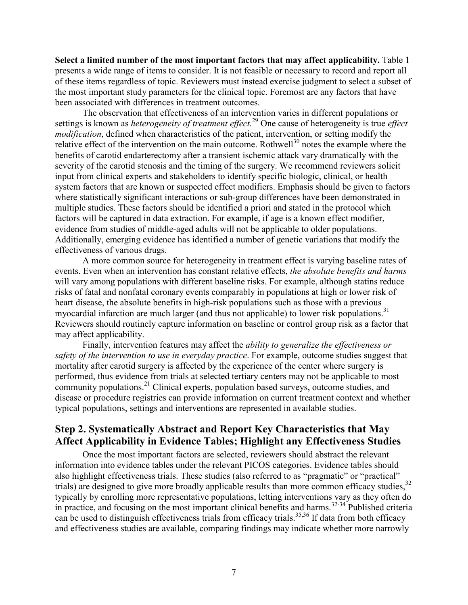**Select a limited number of the most important factors that may affect applicability.** Table 1 presents a wide range of items to consider. It is not feasible or necessary to record and report all of these items regardless of topic. Reviewers must instead exercise judgment to select a subset of the most important study parameters for the clinical topic. Foremost are any factors that have been associated with differences in treatment outcomes.

The observation that effectiveness of an intervention varies in different populations or settings is known as *heterogeneity of treatment effect.*<sup>29</sup> One cause of heterogeneity is true *effect modification*, defined when characteristics of the patient, intervention, or setting modify the relative effect of the intervention on the main outcome. Rothwell<sup>30</sup> notes the example where the benefits of carotid endarterectomy after a transient ischemic attack vary dramatically with the severity of the carotid stenosis and the timing of the surgery. We recommend reviewers solicit input from clinical experts and stakeholders to identify specific biologic, clinical, or health system factors that are known or suspected effect modifiers. Emphasis should be given to factors where statistically significant interactions or sub-group differences have been demonstrated in multiple studies. These factors should be identified a priori and stated in the protocol which factors will be captured in data extraction. For example, if age is a known effect modifier, evidence from studies of middle-aged adults will not be applicable to older populations. Additionally, emerging evidence has identified a number of genetic variations that modify the effectiveness of various drugs.

A more common source for heterogeneity in treatment effect is varying baseline rates of events. Even when an intervention has constant relative effects, *the absolute benefits and harms* will vary among populations with different baseline risks. For example, although statins reduce risks of fatal and nonfatal coronary events comparably in populations at high or lower risk of heart disease, the absolute benefits in high-risk populations such as those with a previous myocardial infarction are much larger (and thus not applicable) to lower risk populations.<sup>31</sup> Reviewers should routinely capture information on baseline or control group risk as a factor that may affect applicability.

Finally, intervention features may affect the *ability to generalize the effectiveness or safety of the intervention to use in everyday practice*. For example, outcome studies suggest that mortality after carotid surgery is affected by the experience of the center where surgery is performed, thus evidence from trials at selected tertiary centers may not be applicable to most community populations.<sup>21</sup> Clinical experts, population based surveys, outcome studies, and disease or procedure registries can provide information on current treatment context and whether typical populations, settings and interventions are represented in available studies.

#### **Step 2. Systematically Abstract and Report Key Characteristics that May Affect Applicability in Evidence Tables; Highlight any Effectiveness Studies**

Once the most important factors are selected, reviewers should abstract the relevant information into evidence tables under the relevant PICOS categories. Evidence tables should also highlight effectiveness trials. These studies (also referred to as "pragmatic" or "practical" trials) are designed to give more broadly applicable results than more common efficacy studies,<sup>32</sup> typically by enrolling more representative populations, letting interventions vary as they often do in practice, and focusing on the most important clinical benefits and harms.<sup>32-34</sup> Published criteria can be used to distinguish effectiveness trials from efficacy trials.<sup>35,36</sup> If data from both efficacy and effectiveness studies are available, comparing findings may indicate whether more narrowly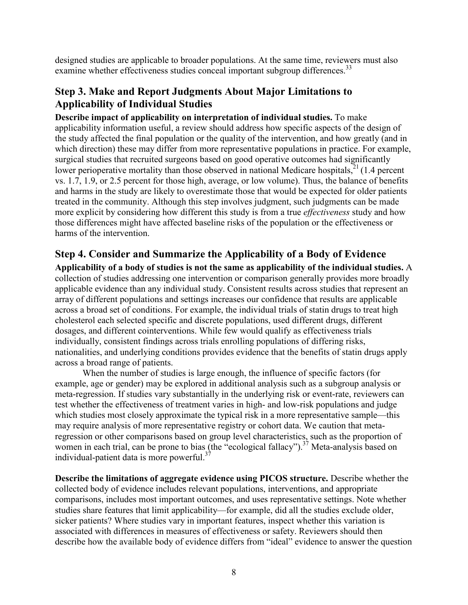designed studies are applicable to broader populations. At the same time, reviewers must also examine whether effectiveness studies conceal important subgroup differences.<sup>33</sup>

#### **Step 3. Make and Report Judgments About Major Limitations to Applicability of Individual Studies**

**Describe impact of applicability on interpretation of individual studies.** To make applicability information useful, a review should address how specific aspects of the design of the study affected the final population or the quality of the intervention, and how greatly (and in which direction) these may differ from more representative populations in practice. For example, surgical studies that recruited surgeons based on good operative outcomes had significantly lower perioperative mortality than those observed in national Medicare hospitals,  $^{21}$  (1.4 percent vs. 1.7, 1.9, or 2.5 percent for those high, average, or low volume). Thus, the balance of benefits and harms in the study are likely to overestimate those that would be expected for older patients treated in the community. Although this step involves judgment, such judgments can be made more explicit by considering how different this study is from a true *effectiveness* study and how those differences might have affected baseline risks of the population or the effectiveness or harms of the intervention.

#### **Step 4. Consider and Summarize the Applicability of a Body of Evidence**

**Applicability of a body of studies is not the same as applicability of the individual studies.** A collection of studies addressing one intervention or comparison generally provides more broadly applicable evidence than any individual study. Consistent results across studies that represent an array of different populations and settings increases our confidence that results are applicable across a broad set of conditions. For example, the individual trials of statin drugs to treat high cholesterol each selected specific and discrete populations, used different drugs, different dosages, and different cointerventions. While few would qualify as effectiveness trials individually, consistent findings across trials enrolling populations of differing risks, nationalities, and underlying conditions provides evidence that the benefits of statin drugs apply across a broad range of patients.

When the number of studies is large enough, the influence of specific factors (for example, age or gender) may be explored in additional analysis such as a subgroup analysis or meta-regression. If studies vary substantially in the underlying risk or event-rate, reviewers can test whether the effectiveness of treatment varies in high- and low-risk populations and judge which studies most closely approximate the typical risk in a more representative sample—this may require analysis of more representative registry or cohort data. We caution that metaregression or other comparisons based on group level characteristics, such as the proportion of women in each trial, can be prone to bias (the "ecological fallacy").<sup>37</sup> Meta-analysis based on individual-patient data is more powerful. $37$ 

**Describe the limitations of aggregate evidence using PICOS structure.** Describe whether the collected body of evidence includes relevant populations, interventions, and appropriate comparisons, includes most important outcomes, and uses representative settings. Note whether studies share features that limit applicability—for example, did all the studies exclude older, sicker patients? Where studies vary in important features, inspect whether this variation is associated with differences in measures of effectiveness or safety. Reviewers should then describe how the available body of evidence differs from "ideal" evidence to answer the question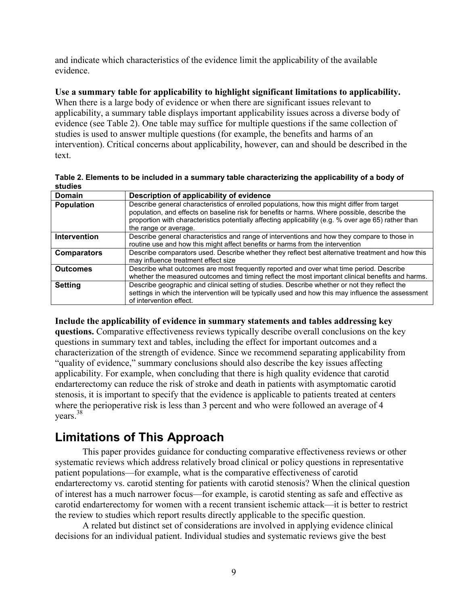and indicate which characteristics of the evidence limit the applicability of the available evidence.

#### **Use a summary table for applicability to highlight significant limitations to applicability.**

When there is a large body of evidence or when there are significant issues relevant to applicability, a summary table displays important applicability issues across a diverse body of evidence (see Table 2). One table may suffice for multiple questions if the same collection of studies is used to answer multiple questions (for example, the benefits and harms of an intervention). Critical concerns about applicability, however, can and should be described in the text.

|         | Table 2. Elements to be included in a summary table characterizing the applicability of a body of |
|---------|---------------------------------------------------------------------------------------------------|
| studies |                                                                                                   |
| Domain  | Doscription of applicability of ovidance                                                          |

| <b>Domain</b>       | Description of applicability of evidence                                                                                                                                                                                                                                                                                     |
|---------------------|------------------------------------------------------------------------------------------------------------------------------------------------------------------------------------------------------------------------------------------------------------------------------------------------------------------------------|
| Population          | Describe general characteristics of enrolled populations, how this might differ from target<br>population, and effects on baseline risk for benefits or harms. Where possible, describe the<br>proportion with characteristics potentially affecting applicability (e.g. % over age 65) rather than<br>the range or average. |
| <b>Intervention</b> | Describe general characteristics and range of interventions and how they compare to those in<br>routine use and how this might affect benefits or harms from the intervention                                                                                                                                                |
| <b>Comparators</b>  | Describe comparators used. Describe whether they reflect best alternative treatment and how this<br>may influence treatment effect size                                                                                                                                                                                      |
| <b>Outcomes</b>     | Describe what outcomes are most frequently reported and over what time period. Describe<br>whether the measured outcomes and timing reflect the most important clinical benefits and harms.                                                                                                                                  |
| <b>Setting</b>      | Describe geographic and clinical setting of studies. Describe whether or not they reflect the<br>settings in which the intervention will be typically used and how this may influence the assessment<br>of intervention effect.                                                                                              |

**Include the applicability of evidence in summary statements and tables addressing key questions.** Comparative effectiveness reviews typically describe overall conclusions on the key questions in summary text and tables, including the effect for important outcomes and a characterization of the strength of evidence. Since we recommend separating applicability from "quality of evidence," summary conclusions should also describe the key issues affecting applicability. For example, when concluding that there is high quality evidence that carotid endarterectomy can reduce the risk of stroke and death in patients with asymptomatic carotid stenosis, it is important to specify that the evidence is applicable to patients treated at centers where the perioperative risk is less than 3 percent and who were followed an average of 4 years.38

## **Limitations of This Approach**

This paper provides guidance for conducting comparative effectiveness reviews or other systematic reviews which address relatively broad clinical or policy questions in representative patient populations—for example, what is the comparative effectiveness of carotid endarterectomy vs. carotid stenting for patients with carotid stenosis? When the clinical question of interest has a much narrower focus—for example, is carotid stenting as safe and effective as carotid endarterectomy for women with a recent transient ischemic attack—it is better to restrict the review to studies which report results directly applicable to the specific question.

A related but distinct set of considerations are involved in applying evidence clinical decisions for an individual patient. Individual studies and systematic reviews give the best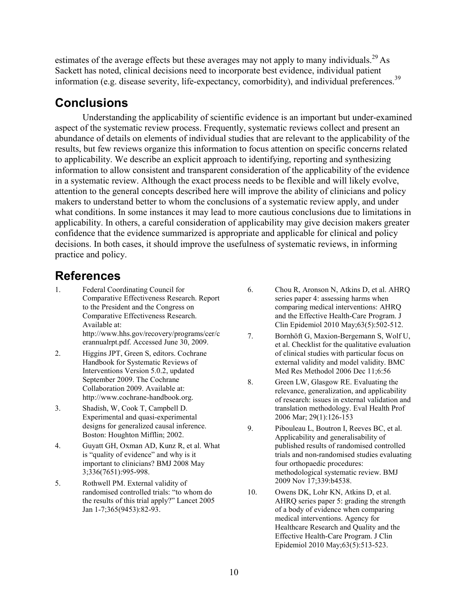estimates of the average effects but these averages may not apply to many individuals.<sup>29</sup> As Sackett has noted, clinical decisions need to incorporate best evidence, individual patient information (e.g. disease severity, life-expectancy, comorbidity), and individual preferences.<sup>39</sup>

### **Conclusions**

Understanding the applicability of scientific evidence is an important but under-examined aspect of the systematic review process. Frequently, systematic reviews collect and present an abundance of details on elements of individual studies that are relevant to the applicability of the results, but few reviews organize this information to focus attention on specific concerns related to applicability. We describe an explicit approach to identifying, reporting and synthesizing information to allow consistent and transparent consideration of the applicability of the evidence in a systematic review. Although the exact process needs to be flexible and will likely evolve, attention to the general concepts described here will improve the ability of clinicians and policy makers to understand better to whom the conclusions of a systematic review apply, and under what conditions. In some instances it may lead to more cautious conclusions due to limitations in applicability. In others, a careful consideration of applicability may give decision makers greater confidence that the evidence summarized is appropriate and applicable for clinical and policy decisions. In both cases, it should improve the usefulness of systematic reviews, in informing practice and policy.

## **References**

- 1. Federal Coordinating Council for Comparative Effectiveness Research. Report to the President and the Congress on Comparative Effectiveness Research. Available at: http://www.hhs.gov/recovery/programs/cer/c erannualrpt.pdf. Accessed June 30, 2009.
- 2. Higgins JPT, Green S, editors. Cochrane Handbook for Systematic Reviews of Interventions Version 5.0.2, updated September 2009. The Cochrane Collaboration 2009. Available at: http:/[/www.cochrane-handbook.org.](http://www.cochrane-handbook.org/)
- 3. Shadish, W, Cook T, Campbell D. Experimental and quasi-experimental designs for generalized causal inference. Boston: Houghton Mifflin; 2002.
- 4. [Guyatt GH,](http://www.ncbi.nlm.nih.gov/pubmed?term=%22Guyatt%20GH%22%5BAuthor%5D&itool=EntrezSystem2.PEntrez.Pubmed.Pubmed_ResultsPanel.Pubmed_RVAbstract) [Oxman AD,](http://www.ncbi.nlm.nih.gov/pubmed?term=%22Oxman%20AD%22%5BAuthor%5D&itool=EntrezSystem2.PEntrez.Pubmed.Pubmed_ResultsPanel.Pubmed_RVAbstract) [Kunz R,](http://www.ncbi.nlm.nih.gov/pubmed?term=%22Kunz%20R%22%5BAuthor%5D&itool=EntrezSystem2.PEntrez.Pubmed.Pubmed_ResultsPanel.Pubmed_RVAbstract) et al. What is "quality of evidence" and why is it important to clinicians? [BMJ](javascript:AL_get(this,%20) 2008 May 3;336(7651):995-998.
- 5. Rothwell PM. External validity of randomised controlled trials: "to whom do the results of this trial apply?" Lancet 2005 Jan 1-7;365(9453):82-93.
- 6. [Chou R,](http://www.ncbi.nlm.nih.gov/pubmed?term=%22Chou%20R%22%5BAuthor%5D) [Aronson N,](http://www.ncbi.nlm.nih.gov/pubmed?term=%22Aronson%20N%22%5BAuthor%5D) [Atkins D,](http://www.ncbi.nlm.nih.gov/pubmed?term=%22Atkins%20D%22%5BAuthor%5D) et al. AHRQ series paper 4: assessing harms when comparing medical interventions: AHRQ and the Effective Health-Care Program. J Clin Epidemiol 2010 May;63(5):502-512.
- 7. Bornhöft G, Maxion-Bergemann S, Wolf U, et al. Checklist for the qualitative evaluation of clinical studies with particular focus on external validity and model validity. BMC Med Res Methodol 2006 Dec 11;6:56
- 8. Green LW, Glasgow RE. Evaluating the relevance, generalization, and applicability of research: issues in external validation and translation methodology. Eval Health Prof 2006 Mar; 29(1):126-153
- 9. Pibouleau L, Boutron I, Reeves BC, et al. [Applicability and generalisability of](http://www.ncbi.nlm.nih.gov/pubmed/19920015?itool=EntrezSystem2.PEntrez.Pubmed.Pubmed_ResultsPanel.Pubmed_RVDocSum&ordinalpos=1)  [published results of randomised controlled](http://www.ncbi.nlm.nih.gov/pubmed/19920015?itool=EntrezSystem2.PEntrez.Pubmed.Pubmed_ResultsPanel.Pubmed_RVDocSum&ordinalpos=1)  [trials and non-randomised studies evaluating](http://www.ncbi.nlm.nih.gov/pubmed/19920015?itool=EntrezSystem2.PEntrez.Pubmed.Pubmed_ResultsPanel.Pubmed_RVDocSum&ordinalpos=1)  [four orthopaedic procedures:](http://www.ncbi.nlm.nih.gov/pubmed/19920015?itool=EntrezSystem2.PEntrez.Pubmed.Pubmed_ResultsPanel.Pubmed_RVDocSum&ordinalpos=1)  [methodological systematic review.](http://www.ncbi.nlm.nih.gov/pubmed/19920015?itool=EntrezSystem2.PEntrez.Pubmed.Pubmed_ResultsPanel.Pubmed_RVDocSum&ordinalpos=1) BMJ 2009 Nov 17;339:b4538.
- 10. [Owens DK,](http://www.ncbi.nlm.nih.gov/pubmed?term=%22Owens%20DK%22%5BAuthor%5D) [Lohr KN,](http://www.ncbi.nlm.nih.gov/pubmed?term=%22Lohr%20KN%22%5BAuthor%5D) [Atkins D,](http://www.ncbi.nlm.nih.gov/pubmed?term=%22Atkins%20D%22%5BAuthor%5D) et al. AHRQ series paper 5: grading the strength of a body of evidence when comparing medical interventions. Agency for Healthcare Research and Quality and the Effective Health-Care Program. J Clin Epidemiol 2010 May;63(5):513-523.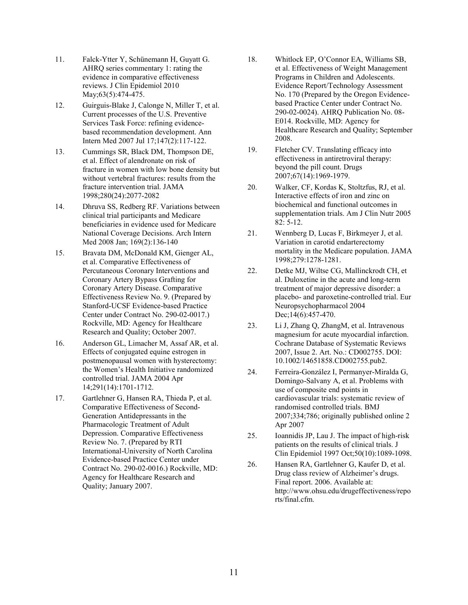- 11. Falck-Ytter Y, Schünemann H, Guyatt G. [AHRQ series commentary 1: rating the](http://www.ncbi.nlm.nih.gov/pubmed/20189352)  [evidence in comparative effectiveness](http://www.ncbi.nlm.nih.gov/pubmed/20189352)  [reviews.](http://www.ncbi.nlm.nih.gov/pubmed/20189352) J Clin Epidemiol 2010 May; 63(5): 474-475.
- 12. Guirguis-Blake J, Calonge N, Miller T, et al. [Current processes of the U.S. Preventive](http://www.ncbi.nlm.nih.gov/pubmed/17576998?itool=EntrezSystem2.PEntrez.Pubmed.Pubmed_ResultsPanel.Pubmed_RVDocSum&ordinalpos=19)  [Services Task Force: refining evidence](http://www.ncbi.nlm.nih.gov/pubmed/17576998?itool=EntrezSystem2.PEntrez.Pubmed.Pubmed_ResultsPanel.Pubmed_RVDocSum&ordinalpos=19)[based recommendation development.](http://www.ncbi.nlm.nih.gov/pubmed/17576998?itool=EntrezSystem2.PEntrez.Pubmed.Pubmed_ResultsPanel.Pubmed_RVDocSum&ordinalpos=19) Ann Intern Med 2007 Jul 17;147(2):117-122.
- 13. Cummings SR, Black DM, Thompson DE, et al. Effect of alendronate on risk of fracture in women with low bone density but without vertebral fractures: results from the fracture intervention trial. JAMA 1998;280(24):2077-2082
- 14. Dhruva SS, Redberg RF. Variations between clinical trial participants and Medicare beneficiaries in evidence used for Medicare National Coverage Decisions. Arch Intern Med 2008 Jan; 169(2):136-140
- 15. Bravata DM, McDonald KM, Gienger AL, et al. [Comparative Effectiveness](http://effectivehealthcare.ahrq.gov/repFiles/CER_PCI_CABGMainReport.pdf) of Percutaneous Coronary Interventions and Coronary Artery Bypass Grafting for Coronary Artery Disease. Comparative [Effectiveness](http://effectivehealthcare.ahrq.gov/tools.cfm?tooltype=glossary&TermID=21) Review No. 9. (Prepared by Stanford-UCSF Evidence-based Practice Center under Contract No. 290-02-0017.) Rockville, MD: Agency for Healthcare Research and Quality; October 2007.
- 16. [Anderson GL, Limacher M, Assaf AR, et al.](http://www.ncbi.nlm.nih.gov/pubmed/15082697?ordinalpos=8&itool=EntrezSystem2.PEntrez.Pubmed.Pubmed_ResultsPanel.Pubmed_DefaultReportPanel.Pubmed_RVDocSum) Effects of conjugated equine estrogen in postmenopausal women with hysterectomy: the Women's Health Initiative randomized controlled trial. JAMA 2004 Apr 14;291(14):1701-1712.
- 17. Gartlehner G, Hansen RA, Thieda P, et al. Comparative Effectiveness of Second-Generation Antidepressants in the Pharmacologic Treatment of Adult Depression. Comparative Effectiveness Review No. 7. (Prepared by RTI International-University of North Carolina Evidence-based Practice Center under Contract No. 290-02-0016.) Rockville, MD: Agency for Healthcare Research and Quality; January 2007.
- 18. Whitlock EP, O'Connor EA, Williams SB, et al. Effectiveness of Weight Management Programs in Children and Adolescents. Evidence Report/Technology Assessment No. 170 (Prepared by the Oregon Evidencebased Practice Center under Contract No. 290-02-0024). AHRQ Publication No. 08- E014. Rockville, MD: Agency for Healthcare Research and Quality; September 2008.
- 19. [Fletcher CV.](http://www.ncbi.nlm.nih.gov/sites/entrez?Db=pubmed&Cmd=Search&Term=%22Fletcher%20CV%22%5BAuthor%5D&itool=EntrezSystem2.PEntrez.Pubmed.Pubmed_ResultsPanel.Pubmed_DiscoveryPanel.Pubmed_RVAbstractPlus) Translating efficacy into effectiveness in antiretroviral therapy: beyond the pill count. Drugs 2007;67(14):1969-1979.
- 20. Walker, CF, Kordas K, Stoltzfus, RJ, et al. Interactive effects of iron and zinc on biochemical and functional outcomes in supplementation trials. Am J Clin Nutr 2005 82: 5-12.
- 21. Wennberg D, Lucas F, Birkmeyer J, et al. Variation in carotid endarterectomy mortality in the Medicare population. JAMA 1998;279:1278-1281.
- 22. [Detke MJ, Wiltse CG, Mallinckrodt CH, et](http://www.ncbi.nlm.nih.gov/pubmed/15589385?ordinalpos=5&itool=EntrezSystem2.PEntrez.Pubmed.Pubmed_ResultsPanel.Pubmed_DefaultReportPanel.Pubmed_RVDocSum)  [al.](http://www.ncbi.nlm.nih.gov/pubmed/15589385?ordinalpos=5&itool=EntrezSystem2.PEntrez.Pubmed.Pubmed_ResultsPanel.Pubmed_DefaultReportPanel.Pubmed_RVDocSum) Duloxetine in the acute and long-term treatment of major depressive disorder: a placebo- and paroxetine-controlled trial. Eur Neuropsychopharmacol 2004 Dec;14(6):457-470.
- 23. Li J, Zhang Q, ZhangM, et al. Intravenous magnesium for acute myocardial infarction. Cochrane Database of Systematic Reviews 2007, Issue 2. Art. No.: CD002755. DOI: 10.1002/14651858.CD002755.pub2.
- 24. Ferreira-González I, Permanyer-Miralda G, Domingo-Salvany A, et al. Problems with use of composite end points in cardiovascular trials: systematic review of randomised controlled trials. BMJ 2007;334;786; originally published online 2 Apr 2007
- 25. [Ioannidis JP,](http://www.ncbi.nlm.nih.gov/sites/entrez?Db=pubmed&Cmd=Search&Term=%22Ioannidis%20JP%22%5BAuthor%5D&itool=EntrezSystem2.PEntrez.Pubmed.Pubmed_ResultsPanel.Pubmed_DiscoveryPanel.Pubmed_RVAbstractPlus) [Lau J.](http://www.ncbi.nlm.nih.gov/sites/entrez?Db=pubmed&Cmd=Search&Term=%22Lau%20J%22%5BAuthor%5D&itool=EntrezSystem2.PEntrez.Pubmed.Pubmed_ResultsPanel.Pubmed_DiscoveryPanel.Pubmed_RVAbstractPlus) The impact of high-risk patients on the results of clinical trials. J Clin Epidemiol 1997 Oct;50(10):1089-1098.
- 26. Hansen RA, Gartlehner G, Kaufer D, et al. Drug class review of Alzheimer's drugs. Final report. 2006. Available at: [http://www.ohsu.edu/drugeffectiveness/repo](http://www.ohsu.edu/drugeffectiveness/reports/final.cfm) [rts/final.cfm.](http://www.ohsu.edu/drugeffectiveness/reports/final.cfm)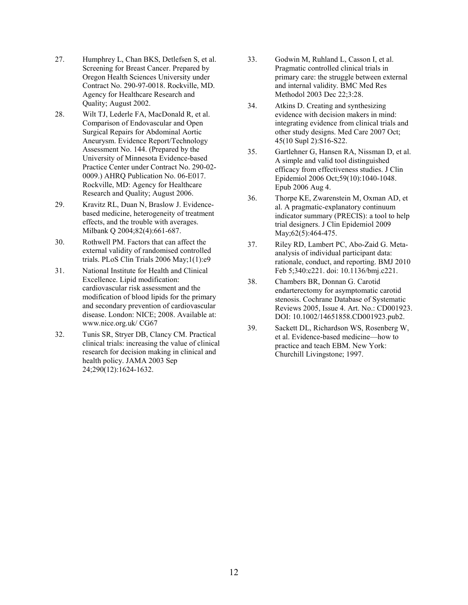- 27. Humphrey L, Chan BKS, Detlefsen S, et al. Screening for Breast Cancer. Prepared by Oregon Health Sciences University under Contract No. 290-97-0018. Rockville, MD. Agency for Healthcare Research and Quality; August 2002.
- 28. Wilt TJ, Lederle FA, MacDonald R, et al. Comparison of Endovascular and Open Surgical Repairs for Abdominal Aortic Aneurysm. Evidence Report/Technology Assessment No. 144. (Prepared by the University of Minnesota Evidence-based Practice Center under Contract No. 290-02- 0009.) AHRQ Publication No. 06-E017. Rockville, MD: Agency for Healthcare Research and Quality; August 2006.
- 29. [Kravitz RL,](http://www.ncbi.nlm.nih.gov/pubmed?term=%22Kravitz%20RL%22%5BAuthor%5D) [Duan N,](http://www.ncbi.nlm.nih.gov/pubmed?term=%22Duan%20N%22%5BAuthor%5D) [Braslow J.](http://www.ncbi.nlm.nih.gov/pubmed?term=%22Braslow%20J%22%5BAuthor%5D) Evidencebased medicine, heterogeneity of treatment effects, and the trouble with averages. [Milbank Q](javascript:AL_get(this,%20) 2004;82(4):661-687.
- 30. Rothwell PM. Factors that can affect the external validity of randomised controlled trials. PLoS Clin Trials 2006 May;1(1):e9
- 31. National Institute for Health and Clinical Excellence. Lipid modification: cardiovascular risk assessment and the modification of blood lipids for the primary and secondary prevention of cardiovascular disease. London: NICE; 2008. Available at: [www.nice.org.uk/](http://www.nice.org.uk/) CG67
- 32. Tunis SR, Stryer DB, Clancy CM[. Practical](http://www.ncbi.nlm.nih.gov/pubmed/14506122?itool=EntrezSystem2.PEntrez.Pubmed.Pubmed_ResultsPanel.Pubmed_RVDocSum&ordinalpos=3)  [clinical trials: increasing the value of clinical](http://www.ncbi.nlm.nih.gov/pubmed/14506122?itool=EntrezSystem2.PEntrez.Pubmed.Pubmed_ResultsPanel.Pubmed_RVDocSum&ordinalpos=3)  [research for decision making in clinical and](http://www.ncbi.nlm.nih.gov/pubmed/14506122?itool=EntrezSystem2.PEntrez.Pubmed.Pubmed_ResultsPanel.Pubmed_RVDocSum&ordinalpos=3)  [health policy.](http://www.ncbi.nlm.nih.gov/pubmed/14506122?itool=EntrezSystem2.PEntrez.Pubmed.Pubmed_ResultsPanel.Pubmed_RVDocSum&ordinalpos=3) JAMA 2003 Sep 24;290(12):1624-1632.
- 33. Godwin M, Ruhland L, Casson I, et al. [Pragmatic controlled clinical trials in](http://www.ncbi.nlm.nih.gov/pubmed/14690550?itool=EntrezSystem2.PEntrez.Pubmed.Pubmed_ResultsPanel.Pubmed_RVDocSum&ordinalpos=7)  [primary care: the struggle between external](http://www.ncbi.nlm.nih.gov/pubmed/14690550?itool=EntrezSystem2.PEntrez.Pubmed.Pubmed_ResultsPanel.Pubmed_RVDocSum&ordinalpos=7)  [and internal validity.](http://www.ncbi.nlm.nih.gov/pubmed/14690550?itool=EntrezSystem2.PEntrez.Pubmed.Pubmed_ResultsPanel.Pubmed_RVDocSum&ordinalpos=7) BMC Med Res Methodol 2003 Dec 22;3:28.
- 34. Atkins D. Creating and synthesizing evidence with decision makers in mind: integrating evidence from clinical trials and other study designs. Med Care 2007 Oct; 45(10 Supl 2):S16-S22.
- 35. Gartlehner G, Hansen RA, Nissman D, et al. A simple and valid tool distinguished efficacy from effectiveness studies. J Clin Epidemiol 2006 Oct;59(10):1040-1048. Epub 2006 Aug 4.
- 36. Thorpe KE, Zwarenstein M, Oxman AD, et al. [A pragmatic-explanatory continuum](http://www.ncbi.nlm.nih.gov/pubmed/19348971?itool=EntrezSystem2.PEntrez.Pubmed.Pubmed_ResultsPanel.Pubmed_RVDocSum&ordinalpos=1)  [indicator summary \(PRECIS\): a tool to help](http://www.ncbi.nlm.nih.gov/pubmed/19348971?itool=EntrezSystem2.PEntrez.Pubmed.Pubmed_ResultsPanel.Pubmed_RVDocSum&ordinalpos=1)  [trial designers.](http://www.ncbi.nlm.nih.gov/pubmed/19348971?itool=EntrezSystem2.PEntrez.Pubmed.Pubmed_ResultsPanel.Pubmed_RVDocSum&ordinalpos=1) J Clin Epidemiol 2009 May; 62(5): 464-475.
- 37. [Riley RD,](http://www.ncbi.nlm.nih.gov/pubmed?term=%22Riley%20RD%22%5BAuthor%5D) [Lambert PC,](http://www.ncbi.nlm.nih.gov/pubmed?term=%22Lambert%20PC%22%5BAuthor%5D) [Abo-Zaid G.](http://www.ncbi.nlm.nih.gov/pubmed?term=%22Abo-Zaid%20G%22%5BAuthor%5D) Metaanalysis of individual participant data: rationale, conduct, and reporting. BMJ 2010 Feb 5;340:c221. doi: 10.1136/bmj.c221.
- 38. Chambers BR, Donnan G. Carotid endarterectomy for asymptomatic carotid stenosis. Cochrane Database of Systematic Reviews 2005, Issue 4. Art. No.: CD001923. DOI: 10.1002/14651858.CD001923.pub2.
- 39. Sackett DL, Richardson WS, Rosenberg W, et al. Evidence-based medicine—how to practice and teach EBM. New York: Churchill Livingstone; 1997.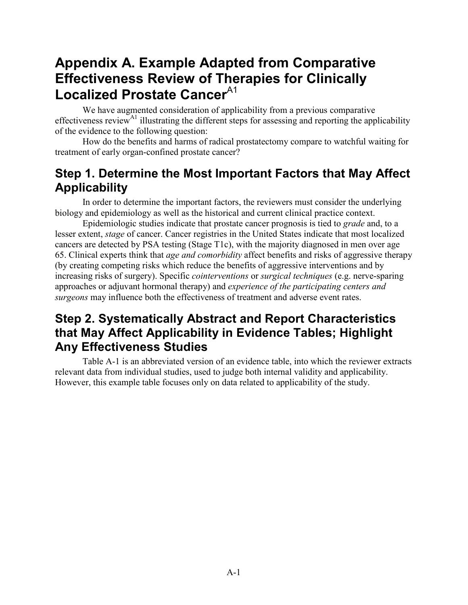## **Appendix A. Example Adapted from Comparative Effectiveness Review of Therapies for Clinically Localized Prostate Cancer**<sup>A1</sup>

We have augmented consideration of applicability from a previous comparative effectiveness review<sup>A1</sup> illustrating the different steps for assessing and reporting the applicability of the evidence to the following question:

How do the benefits and harms of radical prostatectomy compare to watchful waiting for treatment of early organ-confined prostate cancer?

## **Step 1. Determine the Most Important Factors that May Affect Applicability**

In order to determine the important factors, the reviewers must consider the underlying biology and epidemiology as well as the historical and current clinical practice context.

Epidemiologic studies indicate that prostate cancer prognosis is tied to *grade* and, to a lesser extent, *stage* of cancer. Cancer registries in the United States indicate that most localized cancers are detected by PSA testing (Stage T1c), with the majority diagnosed in men over age 65. Clinical experts think that *age and comorbidity* affect benefits and risks of aggressive therapy (by creating competing risks which reduce the benefits of aggressive interventions and by increasing risks of surgery). Specific *cointerventions* or *surgical techniques* (e.g. nerve-sparing approaches or adjuvant hormonal therapy) and *experience of the participating centers and surgeons* may influence both the effectiveness of treatment and adverse event rates.

## **Step 2. Systematically Abstract and Report Characteristics that May Affect Applicability in Evidence Tables; Highlight Any Effectiveness Studies**

Table A-1 is an abbreviated version of an evidence table, into which the reviewer extracts relevant data from individual studies, used to judge both internal validity and applicability. However, this example table focuses only on data related to applicability of the study.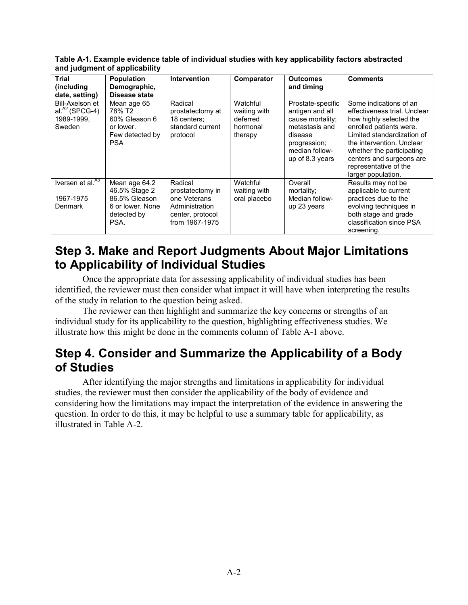**Table A-1. Example evidence table of individual studies with key applicability factors abstracted and judgment of applicability**

| Trial<br>(including                                                               | <b>Population</b><br>Demographic,                                                                            | <b>Intervention</b>                                                                                 | Comparator                                                  | <b>Outcomes</b><br>and timing                                                                                                              | <b>Comments</b>                                                                                                                                                                                                                                                                 |
|-----------------------------------------------------------------------------------|--------------------------------------------------------------------------------------------------------------|-----------------------------------------------------------------------------------------------------|-------------------------------------------------------------|--------------------------------------------------------------------------------------------------------------------------------------------|---------------------------------------------------------------------------------------------------------------------------------------------------------------------------------------------------------------------------------------------------------------------------------|
| date, setting)<br>Bill-Axelson et<br>al. $^{A2}$ (SPCG-4)<br>1989-1999,<br>Sweden | <b>Disease state</b><br>Mean age 65<br>78% T2<br>60% Gleason 6<br>or lower.<br>Few detected by<br><b>PSA</b> | Radical<br>prostatectomy at<br>18 centers:<br>standard current<br>protocol                          | Watchful<br>waiting with<br>deferred<br>hormonal<br>therapy | Prostate-specific<br>antigen and all<br>cause mortality;<br>metastasis and<br>disease<br>progression;<br>median follow-<br>up of 8.3 years | Some indications of an<br>effectiveness trial. Unclear<br>how highly selected the<br>enrolled patients were.<br>Limited standardization of<br>the intervention. Unclear<br>whether the participating<br>centers and surgeons are<br>representative of the<br>larger population. |
| Iversen et al. <sup>73</sup><br>1967-1975<br>Denmark                              | Mean age 64.2<br>46.5% Stage 2<br>86.5% Gleason<br>6 or lower. None<br>detected by<br>PSA.                   | Radical<br>prostatectomy in<br>one Veterans<br>Administration<br>center, protocol<br>from 1967-1975 | Watchful<br>waiting with<br>oral placebo                    | Overall<br>mortality;<br>Median follow-<br>up 23 years                                                                                     | Results may not be<br>applicable to current<br>practices due to the<br>evolving techniques in<br>both stage and grade<br>classification since PSA<br>screening.                                                                                                                 |

### **Step 3. Make and Report Judgments About Major Limitations to Applicability of Individual Studies**

Once the appropriate data for assessing applicability of individual studies has been identified, the reviewer must then consider what impact it will have when interpreting the results of the study in relation to the question being asked.

The reviewer can then highlight and summarize the key concerns or strengths of an individual study for its applicability to the question, highlighting effectiveness studies. We illustrate how this might be done in the comments column of Table A-1 above.

## **Step 4. Consider and Summarize the Applicability of a Body of Studies**

After identifying the major strengths and limitations in applicability for individual studies, the reviewer must then consider the applicability of the body of evidence and considering how the limitations may impact the interpretation of the evidence in answering the question. In order to do this, it may be helpful to use a summary table for applicability, as illustrated in Table A-2.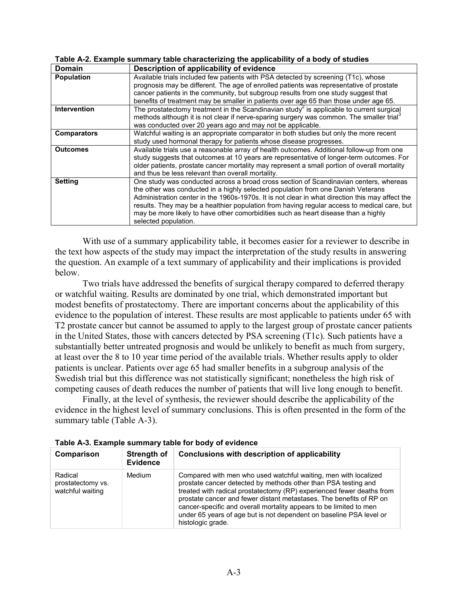| <b>Domain</b>       | Description of applicability of evidence                                                                                                                                                                                                                                                                                                                                                                                                                                                  |
|---------------------|-------------------------------------------------------------------------------------------------------------------------------------------------------------------------------------------------------------------------------------------------------------------------------------------------------------------------------------------------------------------------------------------------------------------------------------------------------------------------------------------|
| <b>Population</b>   | Available trials included few patients with PSA detected by screening (T1c), whose                                                                                                                                                                                                                                                                                                                                                                                                        |
|                     | prognosis may be different. The age of enrolled patients was representative of prostate<br>cancer patients in the community, but subgroup results from one study suggest that                                                                                                                                                                                                                                                                                                             |
|                     | benefits of treatment may be smaller in patients over age 65 than those under age 65.                                                                                                                                                                                                                                                                                                                                                                                                     |
| <b>Intervention</b> | The prostatectomy treatment in the Scandinavian study <sup>2</sup> is applicable to current surgical<br>methods although it is not clear if nerve-sparing surgery was common. The smaller trial <sup>3</sup><br>was conducted over 20 years ago and may not be applicable.                                                                                                                                                                                                                |
| <b>Comparators</b>  | Watchful waiting is an appropriate comparator in both studies but only the more recent<br>study used hormonal therapy for patients whose disease progresses.                                                                                                                                                                                                                                                                                                                              |
| <b>Outcomes</b>     | Available trials use a reasonable array of health outcomes. Additional follow-up from one<br>study suggests that outcomes at 10 years are representative of longer-term outcomes. For<br>older patients, prostate cancer mortality may represent a small portion of overall mortality<br>and thus be less relevant than overall mortality.                                                                                                                                                |
| <b>Setting</b>      | One study was conducted across a broad cross section of Scandinavian centers, whereas<br>the other was conducted in a highly selected population from one Danish Veterans<br>Administration center in the 1960s-1970s. It is not clear in what direction this may affect the<br>results. They may be a healthier population from having regular access to medical care, but<br>may be more likely to have other comorbidities such as heart disease than a highly<br>selected population. |

#### **Table A-2. Example summary table characterizing the applicability of a body of studies**

With use of a summary applicability table, it becomes easier for a reviewer to describe in the text how aspects of the study may impact the interpretation of the study results in answering the question. An example of a text summary of applicability and their implications is provided below.

Two trials have addressed the benefits of surgical therapy compared to deferred therapy or watchful waiting. Results are dominated by one trial, which demonstrated important but modest benefits of prostatectomy. There are important concerns about the applicability of this evidence to the population of interest. These results are most applicable to patients under 65 with T2 prostate cancer but cannot be assumed to apply to the largest group of prostate cancer patients in the United States, those with cancers detected by PSA screening (T1c). Such patients have a substantially better untreated prognosis and would be unlikely to benefit as much from surgery, at least over the 8 to 10 year time period of the available trials. Whether results apply to older patients is unclear. Patients over age 65 had smaller benefits in a subgroup analysis of the Swedish trial but this difference was not statistically significant; nonetheless the high risk of competing causes of death reduces the number of patients that will live long enough to benefit.

Finally, at the level of synthesis, the reviewer should describe the applicability of the evidence in the highest level of summary conclusions. This is often presented in the form of the summary table (Table A-3).

| <b>Table A-0. Example Summary table for body of evidence</b> |                         |                                                                                                                                                                                                                                                                                                                                                                                                                                                     |  |
|--------------------------------------------------------------|-------------------------|-----------------------------------------------------------------------------------------------------------------------------------------------------------------------------------------------------------------------------------------------------------------------------------------------------------------------------------------------------------------------------------------------------------------------------------------------------|--|
| Comparison                                                   | Strength of<br>Evidence | Conclusions with description of applicability                                                                                                                                                                                                                                                                                                                                                                                                       |  |
| Radical<br>prostatectomy vs.<br>watchful waiting             | Medium                  | Compared with men who used watchful waiting, men with localized<br>prostate cancer detected by methods other than PSA testing and<br>treated with radical prostatectomy (RP) experienced fewer deaths from<br>prostate cancer and fewer distant metastases. The benefits of RP on<br>cancer-specific and overall mortality appears to be limited to men<br>under 65 years of age but is not dependent on baseline PSA level or<br>histologic grade. |  |

**Table A-3. Example summary table for body of evidence**